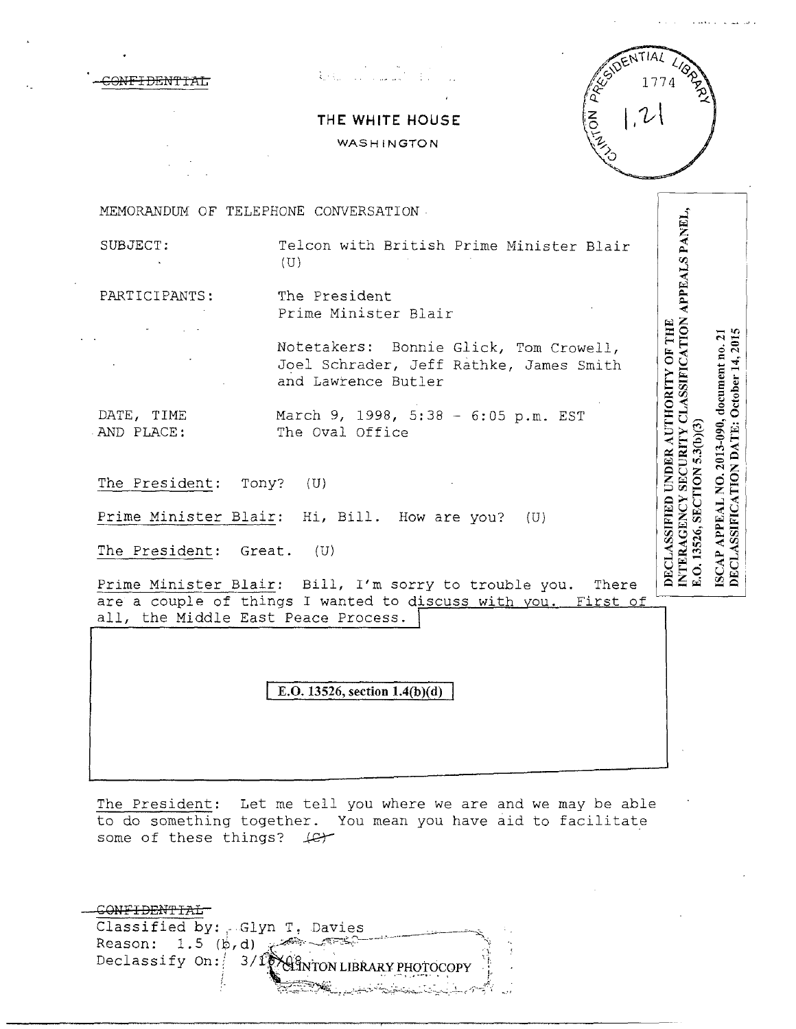| <del>-CONFIDENTIAL</del> |  |
|--------------------------|--|
|                          |  |



# **THE WHITE HOUSE**

WASHINGTON



DECLASSIFIED UNDER AUTHORITY OF THE

E.O. 13526, SECTION 5.3(b)(3)

ISCAP APPEAL NO. 2013-990, document no. 21<br>DECLASSIFICATION DATE: October 14, 2015

MEMORANDUM OF TELEPHONE CONVERSATION

INTERAGENCY SECURITY CLASSIFICATION APPEALS PANEL, SUBJECT: Telcon with British Prime Minister Blair  $(U)$ 

PARTICIPANTS: The President Prime Minister Blair

> Notetakers: Bonnie Glick, Tom Crowell, Joel Schrader, Jeff Rathke, James Smith and Lawrence Butler

DATE, TIME March 9, 1998, 5:38 - 6:05 p.m. EST AND PLACE: The Oval Office

The President: Tony? (U)

Prime Minister Blair: Hi, Bill. How are you? (U)

The President: Great. (U)

Prime Minister Blair: Bill, I'm sorry to trouble you. There are a couple of things I wanted to discuss with you. First of all, the Middle East Peace Process.

**E.O. 13526, section 1.4(b)(d)** 

The President: Let me tell you where we are and we may be able to do something together. You mean you have aid to facilitate some of these things? *J&Y* 

| Classified by: Glyn T, Davies                |  |
|----------------------------------------------|--|
| $Reason: 1.5 (b.d)$ $\mathbb{Z}^m$           |  |
| Declassify On: 3/1 MAGNTON LIBRARY PHOTOCOPY |  |
|                                              |  |
|                                              |  |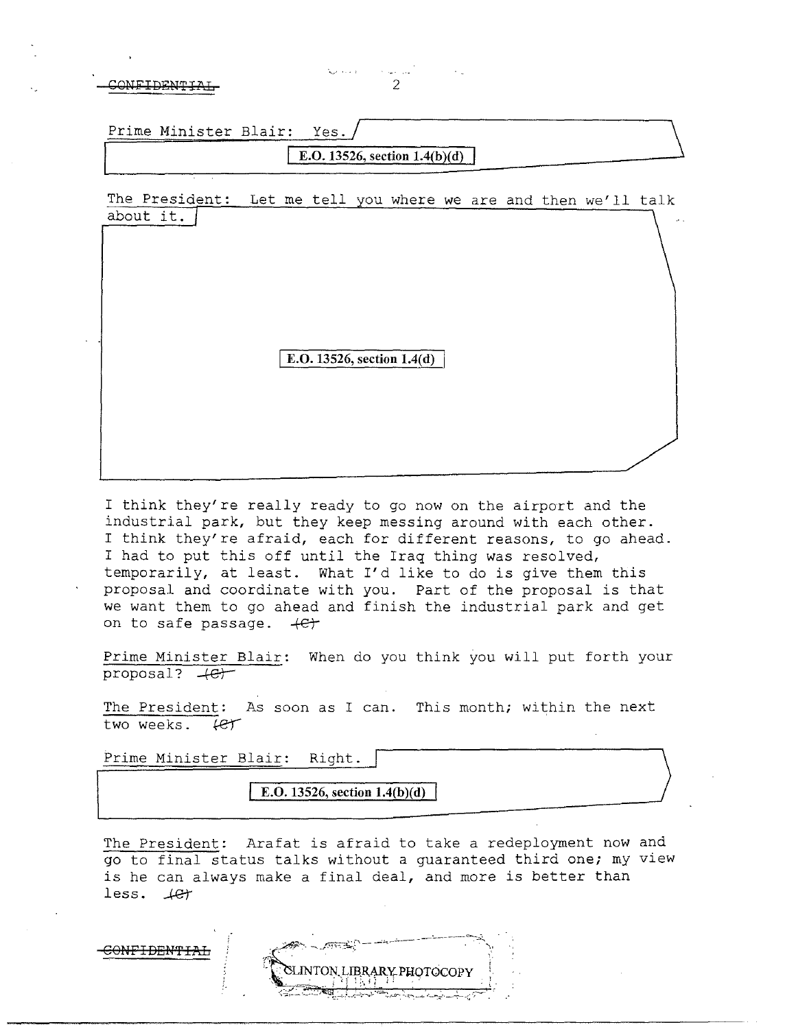**GNFIDENTI** 

| Prime Minister Blair: Yes. |  |                                        |
|----------------------------|--|----------------------------------------|
|                            |  | <b>E.O.</b> 13526, section $1.4(b)(d)$ |

·~.. · .

The President: Let me tell you where we are and then we'll talk about it.

E.O. 13526, section 1.4(d)

I think they're really ready to go now on the airport and the industrial park, but they keep messing around with each other. I think they're afraid, each for different reasons, to go ahead. I had to put this off until the Iraq thing was resolved, temporarily, at least. What I'd like to do is give them this proposal and coordinate with you. Part of the proposal is that we want them to go ahead and finish the industrial park and get on to safe passage.  $+e+$ 

Prime Minister Blair: When do you think you will put forth your proposal?  $+e$ +

The President: As soon as I can. This month; within the next two weeks.  $f$  $f$ 

Prime Minister Blair: Right.

<del>CONFIDENTIAL</del>

**I E.O.** 13526, section  $1.4(b)(d)$ 

The President: Arafat is afraid to take a redeployment now and go to final status talks without a guaranteed third one; my view is he can always make a final deal, and more is better than less.  $4e^+$ 

ON LIBRARY PHOTOCOPY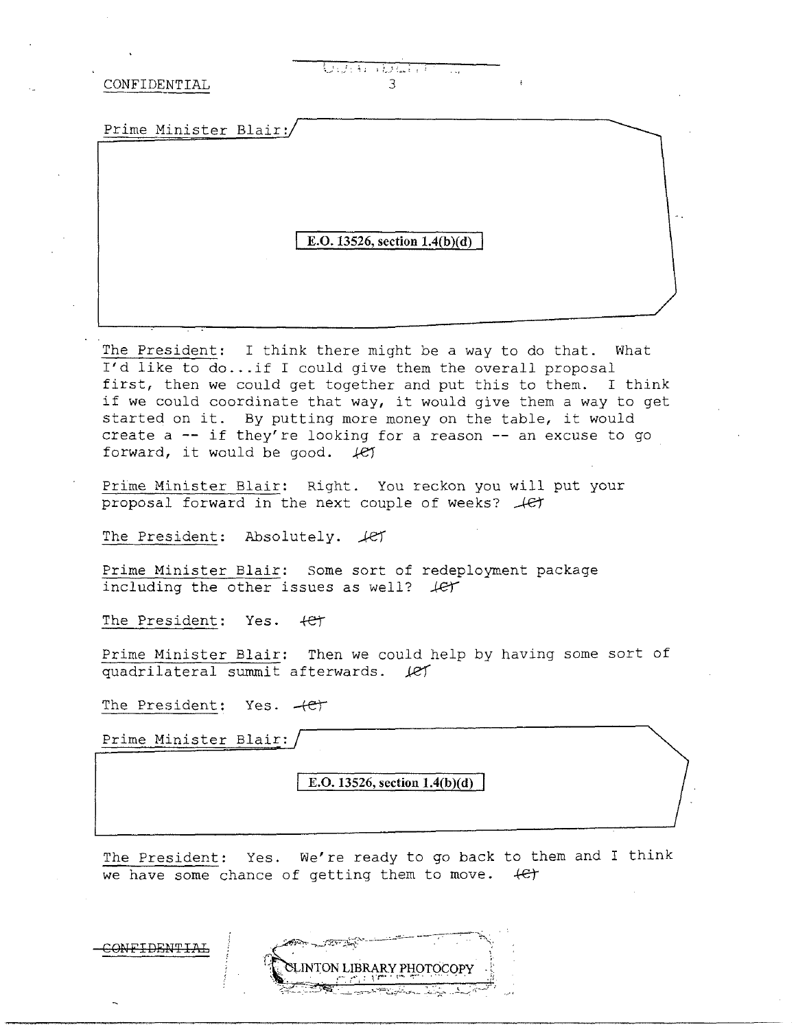<u>Undeko hidu eta</u>  $\mathbf{a}$ 

Prime Minister Blair:/

#### E.O. 13526, section  $1.4(b)(d)$

The President: I think there might be a way to do that. What I'd like to do...if I could give them the overall proposal first, then we could get together and put this to them. I think if we could coordinate that way, it would give them a way to get started on it. By putting more money on the table, it would create a  $-$  if they're looking for a reason  $-$  an excuse to go forward, it would be good. Iet

Prime Minister Blair: Right. You reckon you will put your proposal forward in the next couple of weeks?  $#$ 

The President: Absolutely.  $\text{\#f}$ 

Prime Minister Blair: Some sort of redeployment package including the other issues as well?  $#$ 

The President: Yes. + CT

Prime Minister Blair: Then we could help by having some sort of quadrilateral summit afterwards. Let

The President: Yes.  $+e^+$ 

Prime Minister Blair:

E.O. 13526, section  $1.4(b)(d)$ 

The President: Yes. We're ready to go back to them and I think we have some chance of getting them to move.  $\leftarrow$ 

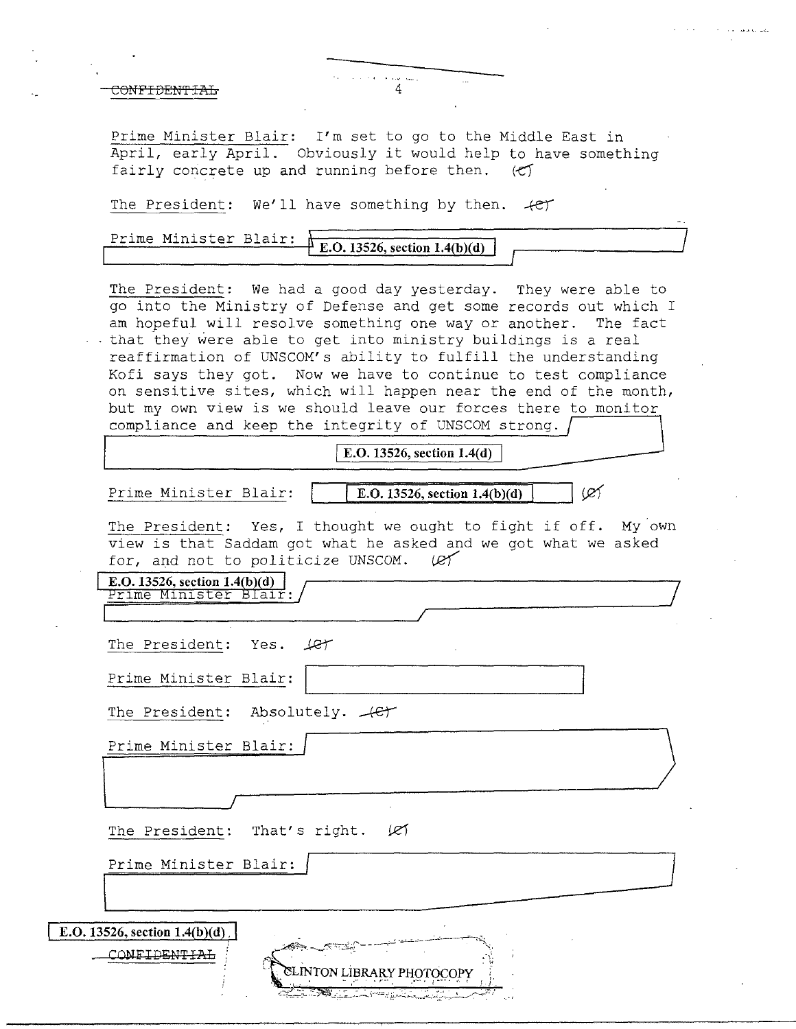Prime Minister Blair: I'm set to go to the Middle East in April, early April. Obviously it would help to have something fairly concrete up and running before then.  $\langle \mathfrak{C} \rangle$ 

The President: We'll have something by then.  $+e^+$ 

| Prime Minister Blair: | $\ddagger$ E.O. 13526, section 1.4(b)(d) |  |
|-----------------------|------------------------------------------|--|
|                       |                                          |  |
|                       |                                          |  |

The President: We had a good day yesterday. They were able to go into the Ministry of Defense and get some records out which I am hopeful will resolve something one way or another. The fact that they were able to get into ministry buildings is a real reaffirmation of UNSCOM's ability to fulfill the understanding Kofi says they got. Now we have to continue to test compliance on sensitive sites, which will happen near the end of the month, but my own view is we should leave our forces there to monitor compliance and keep the integrity of UNSCOM strong.

**E.O. 13526, section 1.4(d)** 

Prime Minister Blair:  $\boxed{\qquad \qquad \boxed{\text{E.O. 13526, section 1.4(b)(d)}}$ 

 $\varnothing$ 

~~~~~~~~/

The President: Yes, I thought we ought to fight if off. My own view is that Saddam got what he asked and we got what we asked for, and not to politicize UNSCOM. (e)

E.O. 13526, section  $1.4(b)(d)$ <u> Prime Minister Blair:</u>

The President: Yes.  $Ler$ 

Prime Minister Blair:

The President: Absolutely.  $+e^+$ 

'--~~~~~~~~~~~~~~~~~\_\_,/

Prime Minister Blair:

The President: That's right.  $\varnothing$ 

Prime Minister Blair: January 1988 (1998) (1998) (1998) (1999) (1999) (1999) (1999) (1999) (1999) (1999) (1999) (1999) (1999) (1999) (1999) (1999) (1999) (1999) (1999) (1999) (1999) (1999) (1999) (1999) (1999) (1999) (1999

, ~~- **-.....**.J'"';';."S~.';'- - \_.--;.-...:.. ·~\_,\_\_...:.----...--=----.::::;\. **E.O. 13526, section 1.4(b)(d)**, CONFIDENTIAL ,-,'. ~ · LINTON LiBRARY PHOTOCOPY ; '• ·1 · ' - .--· ' *r-·* · .··-•' I•--' ,•. ' : ;·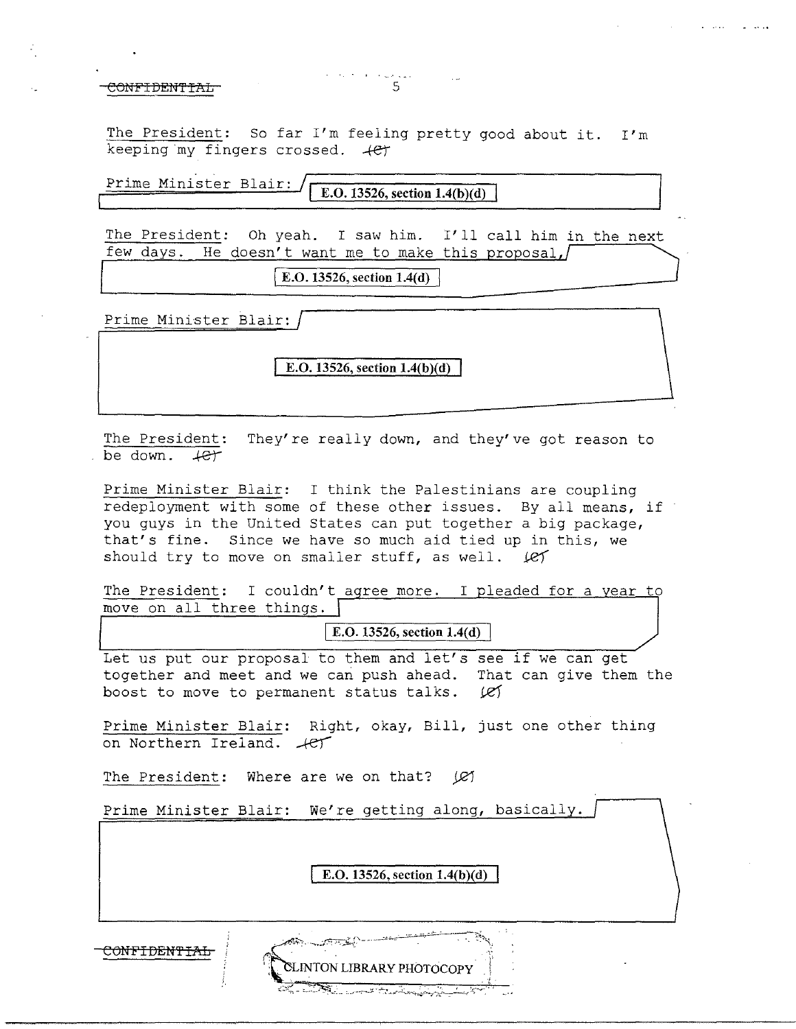The President: So far I'm feeling pretty good about it. I'm keeping my fingers crossed.  $+e^+$ 

**Prime Minister Blair: I.O. 13526, section 1.4(b)(d)** 

. . . . .

The President: Oh yeah. I saw him. I'll call him in the next few days. He doesn't want me to make this proposal,

 $\vert$  **E.O.** 13526, section 1.4(d)  $\vert$ 

Prime Minister Blair:

**E.O. 13526, section 1.4(b)(d)** 

The President: They're really down, and they've got reason to be down.  $4e^+$ 

Prime Minister Blair: I think the Palestinians are coupling redeployment with some of these other issues. By all means, if you guys in the United States can put together a big package, that's fine. Since we have so much aid tied up in this, we should try to move on smaller stuff, as well.  $RT$ 

The President: I couldn't agree more. I pleaded for a year to move on all three things.

**E.O. 13526, section 1.4(d)** 

Let us put our proposal to them and let's see if we can get together and meet and we can push ahead. That can give them the boost to move to permanent status talks.  $\cancel{e}$ 

Prime Minister Blair: Right, okay, Bill, just one other thing on Northern Ireland.  $-$ *et* 

The President: Where are we on that? (*Q*)

Prime Minister Blair: We're getting along, basically.

**E.O. 13526, section 1.4(b)(d)** 

CLINTON LIBRARY PHOTOCOPY

CONF<del>IDENTIAL</del>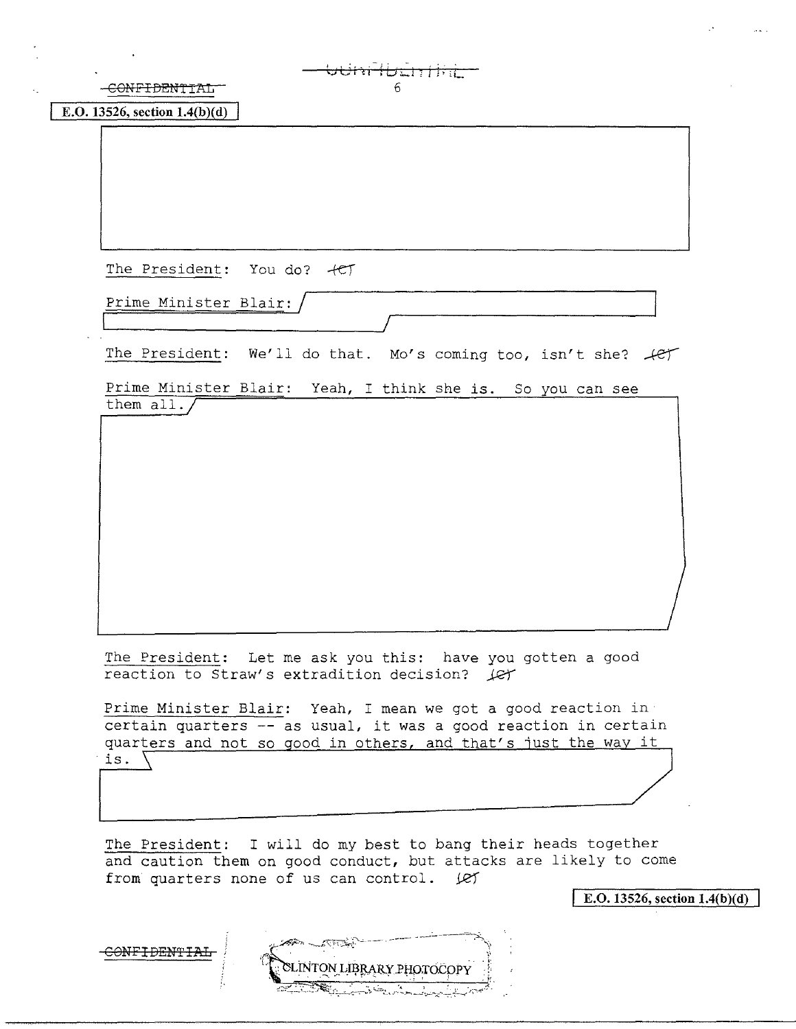| -CONFIDENTIAL<br>6<br>E.O. 13526, section $1.4(b)(d)$                                                       |
|-------------------------------------------------------------------------------------------------------------|
|                                                                                                             |
|                                                                                                             |
|                                                                                                             |
|                                                                                                             |
| The President: You do? +CT                                                                                  |
| Prime Minister Blair:                                                                                       |
|                                                                                                             |
| The President: We'll do that. Mo's coming too, isn't she? fer                                               |
| Prime Minister Blair: Yeah, I think she is. So you can see                                                  |
| them all.                                                                                                   |
|                                                                                                             |
|                                                                                                             |
|                                                                                                             |
|                                                                                                             |
|                                                                                                             |
|                                                                                                             |
|                                                                                                             |
|                                                                                                             |
| The President: Let me ask you this: have you gotten a good<br>reaction to Straw's extradition decision? (et |

certain quarters -- as usual, it was a good reaction in certain quarters and not so good in others, and that's just the way it is.  $\setminus$ 

The President: I will do my best to bang their heads together and caution them on good conduct, but attacks are likely to come from quarters none of us can control. (e)

E.O. 13526, section  $1.4(b)(d)$ 

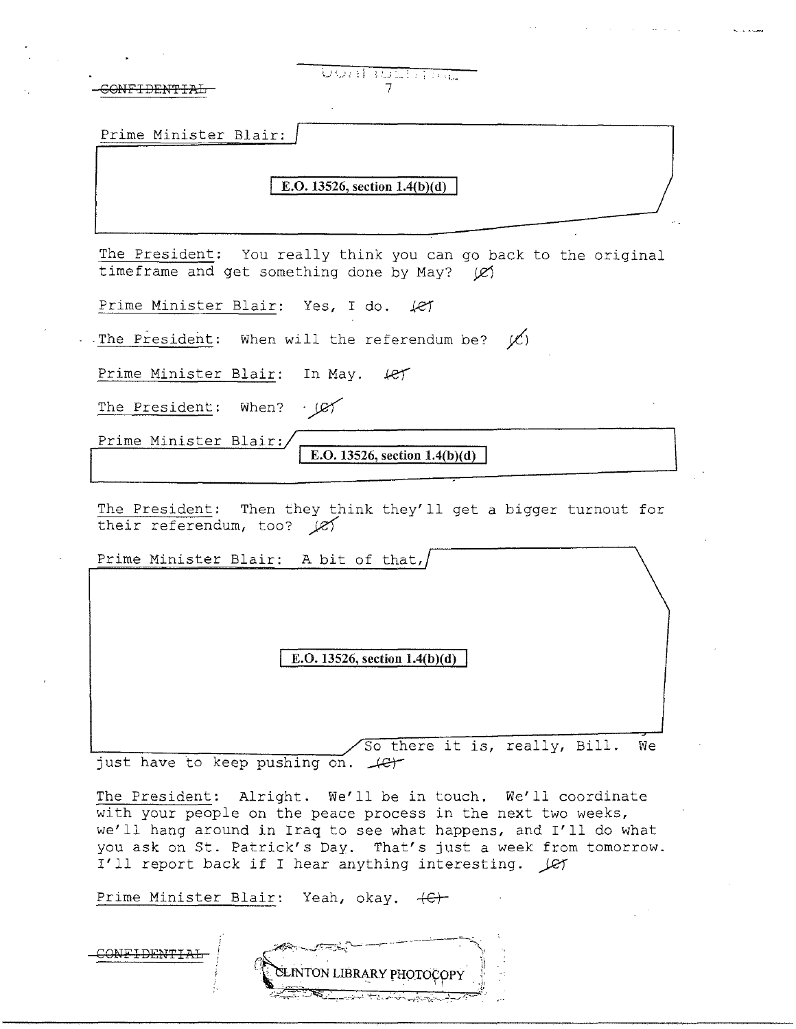| <u>USI NICHTIN</u>                                                                                                                                                                                                                                                                                                        |
|---------------------------------------------------------------------------------------------------------------------------------------------------------------------------------------------------------------------------------------------------------------------------------------------------------------------------|
| Prime Minister Blair:                                                                                                                                                                                                                                                                                                     |
| E.O. 13526, section $1.4(b)(d)$                                                                                                                                                                                                                                                                                           |
| The President: You really think you can go back to the original                                                                                                                                                                                                                                                           |
| timeframe and get something done by May? (Ø)                                                                                                                                                                                                                                                                              |
| Prime Minister Blair: Yes, I do. (et                                                                                                                                                                                                                                                                                      |
| The President: When will the referendum be? $\cancel{\mathcal{C}}$ )                                                                                                                                                                                                                                                      |
| Prime Minister Blair: In May. 4er                                                                                                                                                                                                                                                                                         |
| When? $\sqrt{27}$<br>The President:                                                                                                                                                                                                                                                                                       |
| Prime Minister Blair:<br>E.O. 13526, section $1.4(b)(d)$                                                                                                                                                                                                                                                                  |
| The President: Then they think they'll get a bigger turnout for<br>their referendum, too? $\cancel{\mathcal{C}}$<br>Prime Minister Blair: A bit of that,                                                                                                                                                                  |
| E.O. 13526, section 1.4(b)(d)                                                                                                                                                                                                                                                                                             |
| So there it is, really, Bill.<br>We<br>just have to keep pushing on. (et                                                                                                                                                                                                                                                  |
| The President: Alright. We'll be in touch. We'll coordinate<br>with your people on the peace process in the next two weeks,<br>we'll hang around in Iraq to see what happens, and I'll do what<br>you ask on St. Patrick's Day. That's just a week from tomorrow.<br>I'll report back if I hear anything interesting. Let |
| Prime Minister Blair: Yeah, okay. (C)                                                                                                                                                                                                                                                                                     |
|                                                                                                                                                                                                                                                                                                                           |

ستبيح المرابي والمسامح والمحاولات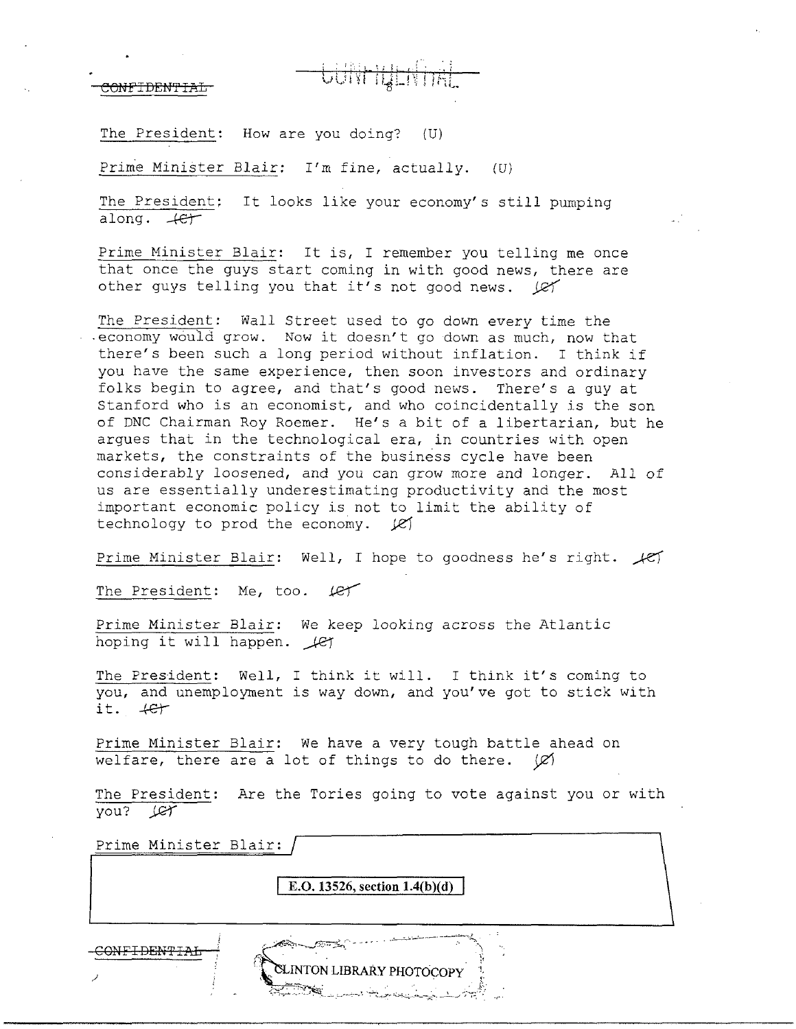., *<sup>i</sup>*

The President: How are you doing? (U)

Prime Minister Blair: I'm fine, actually. (U)

The President; It looks like your economy's still pumping along. *-ter* 

Prime Minister Blair: It is, I remember you telling me once that once the guys start coming in with good news, there are other guys telling you that it's not good news. (e)

The President: Wall Street used to go down every time the economy would grow. Now it doesn't go down as much, now that there's been such a long period without inflation. I think if you have the same experience, then soon investors and ordinary folks begin to agree, and that's good news. There's a guy at Stanford who is an economist, and who coincidentally is the son of DNC Chairman Roy Roemer. He's a bit of a libertarian, but he argues that in the technological era, in countries with open markets, the constraints of the business cycle have been considerably loosened, and you can grow more and longer. All of us are essentially underestimating productivity and the most important economic policy is not to limit the ability of technology to prod the economy.  $\cancel{e}$ 

Prime Minister Blair: Well, I hope to goodness he's right.  $\sqrt{c}$ 

The President: Me, too.  $f$ 

Prime Minister Blair: We keep looking across the Atlantic Prime Miniscer Bidit: We Ke

The President: Well, I think it will. I think it's coming to you, and unemployment is way down, and you've got to stick with it. ...{.e-j-

Prime Minister Blair: We have a very tough battle ahead on welfare, there are a lot of things to do there.  $\varnothing$ 

The President: Are the Tories going to vote against you or with you? *j.Q1'* 

Prime Minister Blair:

**E.O. 13526, section 1.4(b)(d)** 

**CLINTON LIBRARY PHOTOCOPY** 

CONF<del>IDENTIAL</del>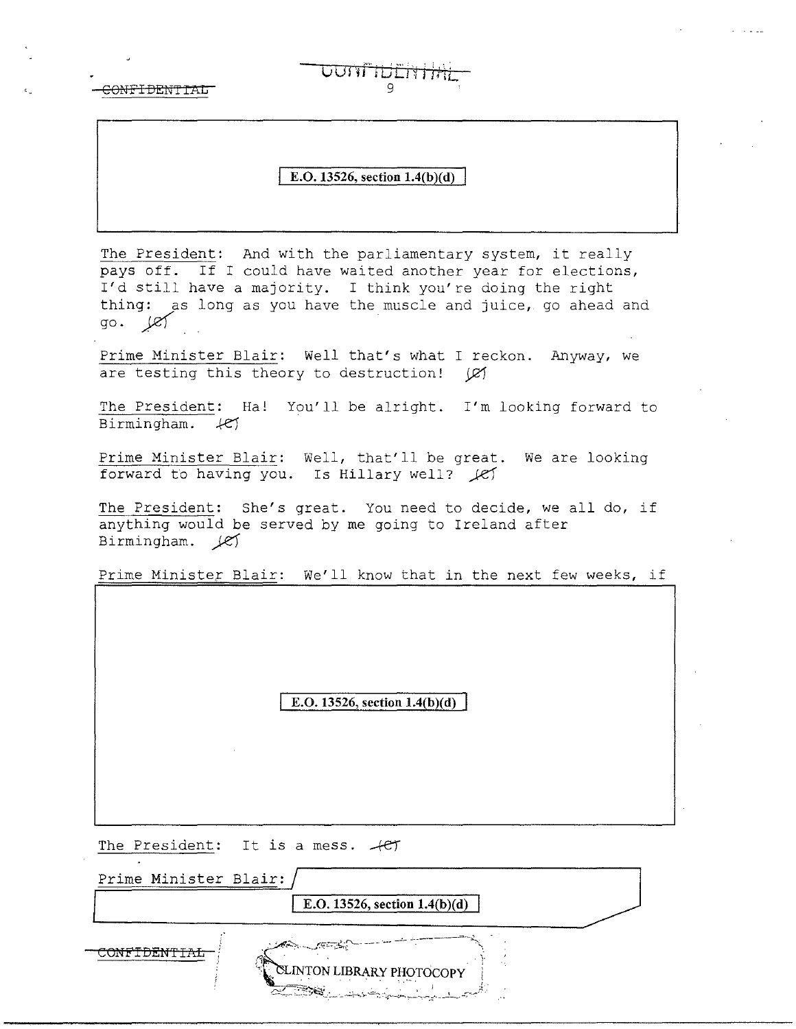### **E.O. 13526, section 1.4(b)(d)**

<del>WUTHENH</del>

The President: And with the parliamentary system, it really pays off. If I could have waited another year for elections, I'd still have a majority. I think you're doing the right thing: as long as you have the muscle and juice, go ahead and  $g_0.$   $\sqrt{g_1}$ 

Prime Minister Blair: Well that's what I reckon. Anyway, we are testing this theory to destruction!  $(\varnothing)$ 

The President: Ha! You'll be alright. I'm looking forward to Birmingham.  $H$ 

Prime Minister Blair: Well, that'll be great. We are looking forward to having you. Is Hillary well?  $\ell$ 

The President: She's great. You need to decide, we all do, if anything would be served by me going to Ireland after Birmingham.  $\cancel{\mathcal{C}}$ 

Prime Minister Blair: We'll know that in the next few weeks, if

E.O. 13526, section  $1.4(b)(d)$ 

The President: It is a mess.  $+e\tau$ 

Prime Minister Blair: **E.O. 13526, section 1.4(b)(d)** CONFIDENTIA<del>L</del> LINTON LIBRARY PHOTOCOPY